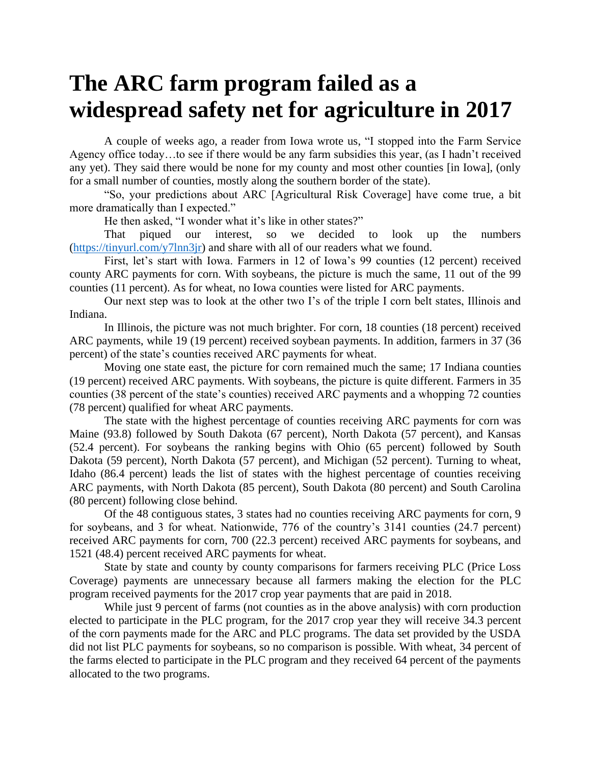## **The ARC farm program failed as a widespread safety net for agriculture in 2017**

A couple of weeks ago, a reader from Iowa wrote us, "I stopped into the Farm Service Agency office today…to see if there would be any farm subsidies this year, (as I hadn't received any yet). They said there would be none for my county and most other counties [in Iowa], (only for a small number of counties, mostly along the southern border of the state).

"So, your predictions about ARC [Agricultural Risk Coverage] have come true, a bit more dramatically than I expected."

He then asked, "I wonder what it's like in other states?"

That piqued our interest, so we decided to look up the numbers [\(https://tinyurl.com/y7lnn3jr\)](https://tinyurl.com/y7lnn3jr) and share with all of our readers what we found.

First, let's start with Iowa. Farmers in 12 of Iowa's 99 counties (12 percent) received county ARC payments for corn. With soybeans, the picture is much the same, 11 out of the 99 counties (11 percent). As for wheat, no Iowa counties were listed for ARC payments.

Our next step was to look at the other two I's of the triple I corn belt states, Illinois and Indiana.

In Illinois, the picture was not much brighter. For corn, 18 counties (18 percent) received ARC payments, while 19 (19 percent) received soybean payments. In addition, farmers in 37 (36 percent) of the state's counties received ARC payments for wheat.

Moving one state east, the picture for corn remained much the same; 17 Indiana counties (19 percent) received ARC payments. With soybeans, the picture is quite different. Farmers in 35 counties (38 percent of the state's counties) received ARC payments and a whopping 72 counties (78 percent) qualified for wheat ARC payments.

The state with the highest percentage of counties receiving ARC payments for corn was Maine (93.8) followed by South Dakota (67 percent), North Dakota (57 percent), and Kansas (52.4 percent). For soybeans the ranking begins with Ohio (65 percent) followed by South Dakota (59 percent), North Dakota (57 percent), and Michigan (52 percent). Turning to wheat, Idaho (86.4 percent) leads the list of states with the highest percentage of counties receiving ARC payments, with North Dakota (85 percent), South Dakota (80 percent) and South Carolina (80 percent) following close behind.

Of the 48 contiguous states, 3 states had no counties receiving ARC payments for corn, 9 for soybeans, and 3 for wheat. Nationwide, 776 of the country's 3141 counties (24.7 percent) received ARC payments for corn, 700 (22.3 percent) received ARC payments for soybeans, and 1521 (48.4) percent received ARC payments for wheat.

State by state and county by county comparisons for farmers receiving PLC (Price Loss Coverage) payments are unnecessary because all farmers making the election for the PLC program received payments for the 2017 crop year payments that are paid in 2018.

While just 9 percent of farms (not counties as in the above analysis) with corn production elected to participate in the PLC program, for the 2017 crop year they will receive 34.3 percent of the corn payments made for the ARC and PLC programs. The data set provided by the USDA did not list PLC payments for soybeans, so no comparison is possible. With wheat, 34 percent of the farms elected to participate in the PLC program and they received 64 percent of the payments allocated to the two programs.